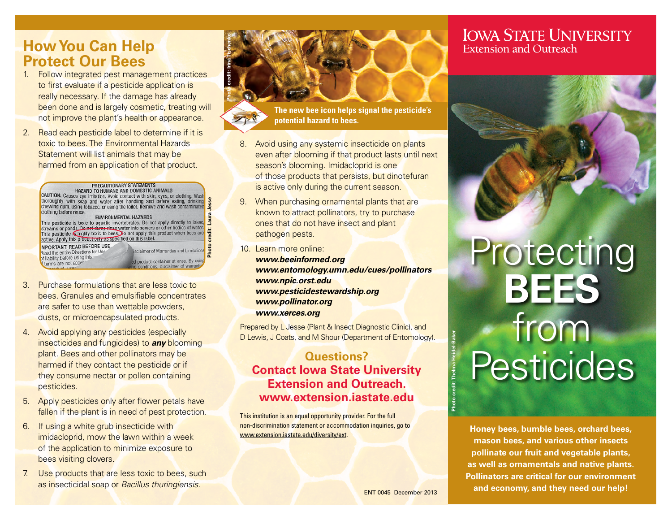## **How You Can Help Protect Our Bees**

1. Follow integrated pest management practices to first evaluate if a pesticide application is really necessary. If the damage has already been done and is largely cosmetic, treating will not improve the plant's health or appearance.

**Photo credit: Irina Tischenko**

2. Read each pesticide label to determine if it is toxic to bees. The Environmental Hazards Statement will list animals that may be harmed from an application of that product.

#### **PRECAUTIONARY STATEMENTS** HAZARD TO HUMANS AND DOMESTIC ANIMALS

CAUTION: Causes eye irritation. Avoid contact with skin, eyes, or clothing. Wash thoroughly with soap and water after handling and before eating, drinking<br>chewing gum, using tobacco, or using the toilet. Remove and wash contaminated **Photo credit: Laura Jesse** clothing before reuse. clothing before reuse.<br> **ENVIRONMENTAL HAZARDS**<br>
This pesticide is toxic to aquatic invertebrates. Do not apply directly to lakes,<br>
streams or ponds, <u>Do not demp mas</u> water into severs or other bodies of water.<br>
This pest **IMPORTANT: READ BEFORE USE** Read the entire Directions for Use sclaimer of Warranties and Limitations of liability before using this d product container at once. By using<br>g conditions, disclaimer of warrantie terms are not accer

- 3. Purchase formulations that are less toxic to bees. Granules and emulsifiable concentrates are safer to use than wettable powders, dusts, or microencapsulated products.
- 4. Avoid applying any pesticides (especially insecticides and fungicides) to *any* blooming plant. Bees and other pollinators may be harmed if they contact the pesticide or if they consume nectar or pollen containing pesticides.
- 5. Apply pesticides only after flower petals have fallen if the plant is in need of pest protection.
- 6. If using a white grub insecticide with imidacloprid, mow the lawn within a week of the application to minimize exposure to bees visiting clovers.
- 7. Use products that are less toxic to bees, such as insecticidal soap or *Bacillus thuringiensis*.

**The new bee icon helps signal the pesticide's potential hazard to bees.**

- 8. Avoid using any systemic insecticide on plants even after blooming if that product lasts until next season's blooming. Imidacloprid is one of those products that persists, but dinotefuran is active only during the current season.
- 9. When purchasing ornamental plants that are known to attract pollinators, try to purchase ones that do not have insect and plant pathogen pests.
- 10. Learn more online: *[www.beeinformed.org](https://beeinformed.org/) [www.entomology.umn.edu/cues/pollinators](https://entomology.umn.edu/cues/pollinators) [www.npic.orst.edu](http://www.npic.orst.edu/) [www.pesticidestewardship.org](https://pesticidestewardship.org/) [www.pollinator.org](https://www.pollinator.org/) [www.xerces.org](https://www.xerces.org/)*

Prepared by L Jesse (Plant & Insect Diagnostic Clinic), and D Lewis, J Coats, and M Shour (Department of Entomology).

#### **Questions? Contact Iowa State University Extension and Outreach. [www.extension.iastate.edu](https://www.extension.iastate.edu/)**

This institution is an equal opportunity provider. For the full non-discrimination statement or accommodation inquiries, go to [www.extension.iastate.edu/diversity/ext](https://www.extension.iastate.edu/diversity/ext).

### **IOWA STATE UNIVERSITY Extension and Outreach**



# Protecting **BEES** from **Pesticides**

**Honey bees, bumble bees, orchard bees, mason bees, and various other insects pollinate our fruit and vegetable plants, as well as ornamentals and native plants. Pollinators are critical for our environment and economy, and they need our help!**

ENT 0045 December 2013

**Photo credit: Thelma Heidel-Baker**